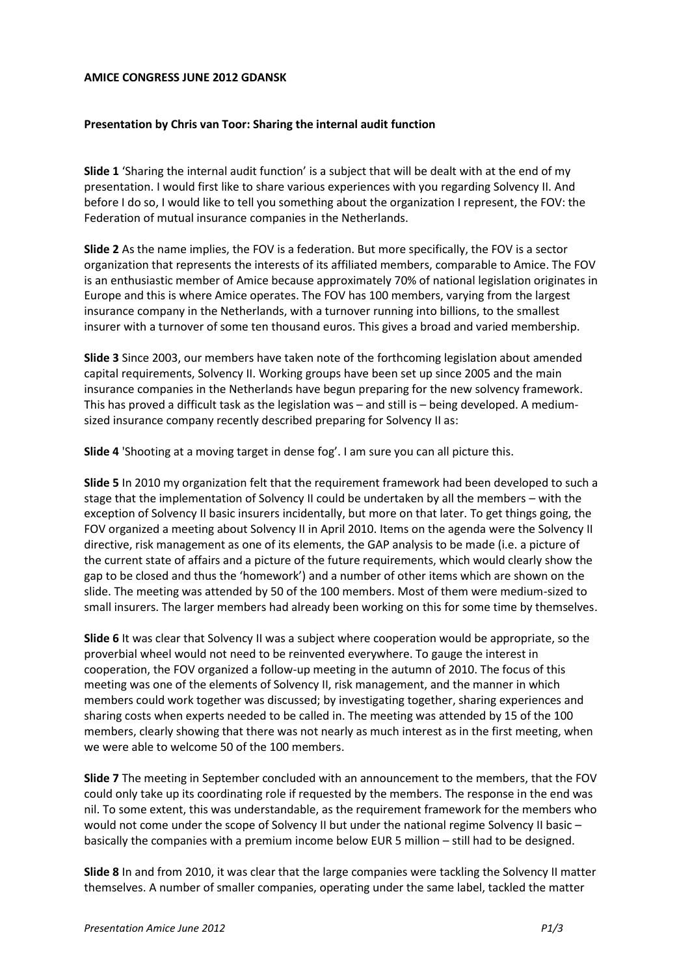## **AMICE CONGRESS JUNE 2012 GDANSK**

## **Presentation by Chris van Toor: Sharing the internal audit function**

**Slide 1** 'Sharing the internal audit function' is a subject that will be dealt with at the end of my presentation. I would first like to share various experiences with you regarding Solvency II. And before I do so, I would like to tell you something about the organization I represent, the FOV: the Federation of mutual insurance companies in the Netherlands.

**Slide 2** As the name implies, the FOV is a federation. But more specifically, the FOV is a sector organization that represents the interests of its affiliated members, comparable to Amice. The FOV is an enthusiastic member of Amice because approximately 70% of national legislation originates in Europe and this is where Amice operates. The FOV has 100 members, varying from the largest insurance company in the Netherlands, with a turnover running into billions, to the smallest insurer with a turnover of some ten thousand euros. This gives a broad and varied membership.

**Slide 3** Since 2003, our members have taken note of the forthcoming legislation about amended capital requirements, Solvency II. Working groups have been set up since 2005 and the main insurance companies in the Netherlands have begun preparing for the new solvency framework. This has proved a difficult task as the legislation was – and still is – being developed. A mediumsized insurance company recently described preparing for Solvency II as:

**Slide 4** 'Shooting at a moving target in dense fog'. I am sure you can all picture this.

**Slide 5** In 2010 my organization felt that the requirement framework had been developed to such a stage that the implementation of Solvency II could be undertaken by all the members – with the exception of Solvency II basic insurers incidentally, but more on that later. To get things going, the FOV organized a meeting about Solvency II in April 2010. Items on the agenda were the Solvency II directive, risk management as one of its elements, the GAP analysis to be made (i.e. a picture of the current state of affairs and a picture of the future requirements, which would clearly show the gap to be closed and thus the 'homework') and a number of other items which are shown on the slide. The meeting was attended by 50 of the 100 members. Most of them were medium-sized to small insurers. The larger members had already been working on this for some time by themselves.

**Slide 6** It was clear that Solvency II was a subject where cooperation would be appropriate, so the proverbial wheel would not need to be reinvented everywhere. To gauge the interest in cooperation, the FOV organized a follow-up meeting in the autumn of 2010. The focus of this meeting was one of the elements of Solvency II, risk management, and the manner in which members could work together was discussed; by investigating together, sharing experiences and sharing costs when experts needed to be called in. The meeting was attended by 15 of the 100 members, clearly showing that there was not nearly as much interest as in the first meeting, when we were able to welcome 50 of the 100 members.

**Slide 7** The meeting in September concluded with an announcement to the members, that the FOV could only take up its coordinating role if requested by the members. The response in the end was nil. To some extent, this was understandable, as the requirement framework for the members who would not come under the scope of Solvency II but under the national regime Solvency II basic – basically the companies with a premium income below EUR 5 million – still had to be designed.

**Slide 8** In and from 2010, it was clear that the large companies were tackling the Solvency II matter themselves. A number of smaller companies, operating under the same label, tackled the matter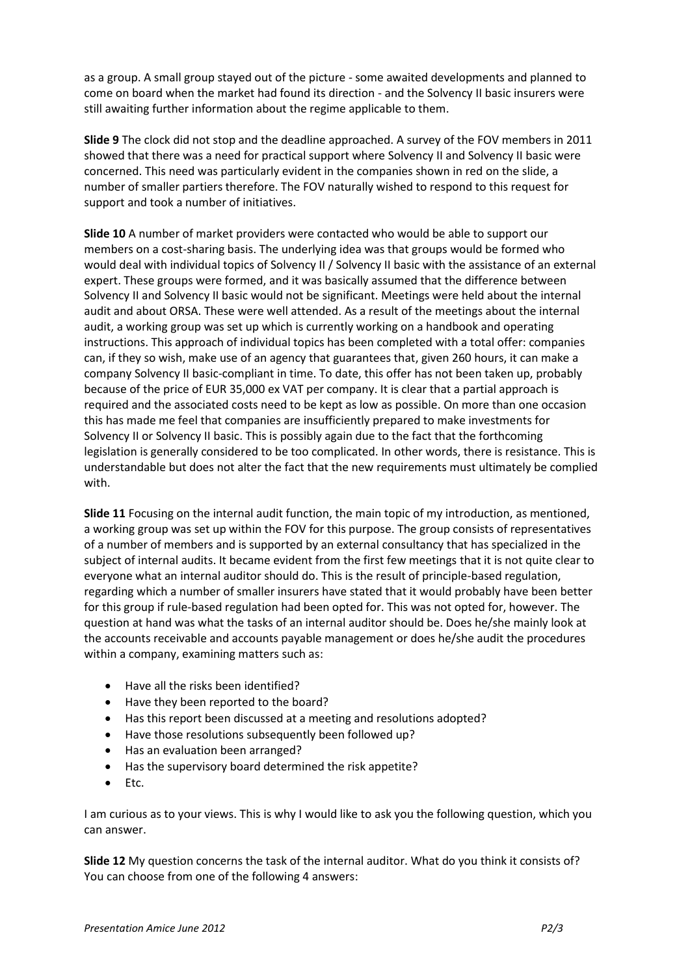as a group. A small group stayed out of the picture - some awaited developments and planned to come on board when the market had found its direction - and the Solvency II basic insurers were still awaiting further information about the regime applicable to them.

**Slide 9** The clock did not stop and the deadline approached. A survey of the FOV members in 2011 showed that there was a need for practical support where Solvency II and Solvency II basic were concerned. This need was particularly evident in the companies shown in red on the slide, a number of smaller partiers therefore. The FOV naturally wished to respond to this request for support and took a number of initiatives.

**Slide 10** A number of market providers were contacted who would be able to support our members on a cost-sharing basis. The underlying idea was that groups would be formed who would deal with individual topics of Solvency II / Solvency II basic with the assistance of an external expert. These groups were formed, and it was basically assumed that the difference between Solvency II and Solvency II basic would not be significant. Meetings were held about the internal audit and about ORSA. These were well attended. As a result of the meetings about the internal audit, a working group was set up which is currently working on a handbook and operating instructions. This approach of individual topics has been completed with a total offer: companies can, if they so wish, make use of an agency that guarantees that, given 260 hours, it can make a company Solvency II basic-compliant in time. To date, this offer has not been taken up, probably because of the price of EUR 35,000 ex VAT per company. It is clear that a partial approach is required and the associated costs need to be kept as low as possible. On more than one occasion this has made me feel that companies are insufficiently prepared to make investments for Solvency II or Solvency II basic. This is possibly again due to the fact that the forthcoming legislation is generally considered to be too complicated. In other words, there is resistance. This is understandable but does not alter the fact that the new requirements must ultimately be complied with.

**Slide 11** Focusing on the internal audit function, the main topic of my introduction, as mentioned, a working group was set up within the FOV for this purpose. The group consists of representatives of a number of members and is supported by an external consultancy that has specialized in the subject of internal audits. It became evident from the first few meetings that it is not quite clear to everyone what an internal auditor should do. This is the result of principle-based regulation, regarding which a number of smaller insurers have stated that it would probably have been better for this group if rule-based regulation had been opted for. This was not opted for, however. The question at hand was what the tasks of an internal auditor should be. Does he/she mainly look at the accounts receivable and accounts payable management or does he/she audit the procedures within a company, examining matters such as:

- Have all the risks been identified?
- Have they been reported to the board?
- Has this report been discussed at a meeting and resolutions adopted?
- Have those resolutions subsequently been followed up?
- Has an evaluation been arranged?
- Has the supervisory board determined the risk appetite?
- $\bullet$  Etc.

I am curious as to your views. This is why I would like to ask you the following question, which you can answer.

**Slide 12** My question concerns the task of the internal auditor. What do you think it consists of? You can choose from one of the following 4 answers: